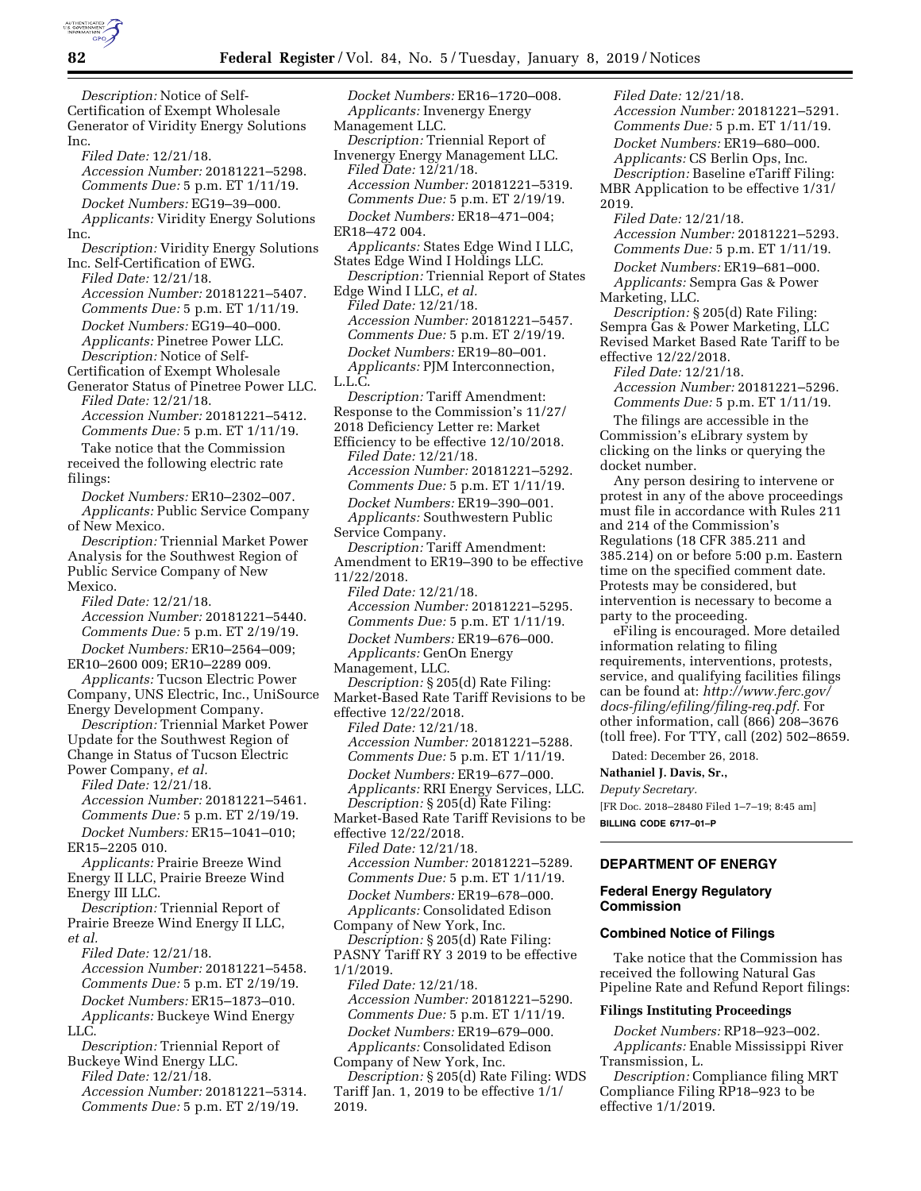

*Description:* Notice of Self-Certification of Exempt Wholesale Generator of Viridity Energy Solutions Inc. *Filed Date:* 12/21/18. *Accession Number:* 20181221–5298. *Comments Due:* 5 p.m. ET 1/11/19. *Docket Numbers:* EG19–39–000. *Applicants:* Viridity Energy Solutions Inc. *Description:* Viridity Energy Solutions Inc. Self-Certification of EWG. *Filed Date:* 12/21/18. *Accession Number:* 20181221–5407. *Comments Due:* 5 p.m. ET 1/11/19. *Docket Numbers:* EG19–40–000. *Applicants:* Pinetree Power LLC. *Description:* Notice of Self-Certification of Exempt Wholesale Generator Status of Pinetree Power LLC. *Filed Date:* 12/21/18. *Accession Number:* 20181221–5412. *Comments Due:* 5 p.m. ET 1/11/19. Take notice that the Commission received the following electric rate filings: *Docket Numbers:* ER10–2302–007. *Applicants:* Public Service Company of New Mexico. *Description:* Triennial Market Power Analysis for the Southwest Region of Public Service Company of New Mexico. *Filed Date:* 12/21/18. *Accession Number:* 20181221–5440. *Comments Due:* 5 p.m. ET 2/19/19. *Docket Numbers:* ER10–2564–009; ER10–2600 009; ER10–2289 009. *Applicants:* Tucson Electric Power Company, UNS Electric, Inc., UniSource Energy Development Company. *Description:* Triennial Market Power Update for the Southwest Region of Change in Status of Tucson Electric Power Company, *et al. Filed Date:* 12/21/18. *Accession Number:* 20181221–5461. *Comments Due:* 5 p.m. ET 2/19/19. *Docket Numbers:* ER15–1041–010; ER15–2205 010. *Applicants:* Prairie Breeze Wind Energy II LLC, Prairie Breeze Wind Energy III LLC. *Description:* Triennial Report of Prairie Breeze Wind Energy II LLC, *et al. Filed Date:* 12/21/18. *Accession Number:* 20181221–5458. *Comments Due:* 5 p.m. ET 2/19/19. *Docket Numbers:* ER15–1873–010. *Applicants:* Buckeye Wind Energy LLC. *Description:* Triennial Report of Buckeye Wind Energy LLC. *Filed Date:* 12/21/18. *Accession Number:* 20181221–5314. *Comments Due:* 5 p.m. ET 2/19/19.

*Docket Numbers:* ER16–1720–008. *Applicants:* Invenergy Energy Management LLC. *Description:* Triennial Report of Invenergy Energy Management LLC. *Filed Date:* 12/21/18. *Accession Number:* 20181221–5319. *Comments Due:* 5 p.m. ET 2/19/19. *Docket Numbers:* ER18–471–004; ER18–472 004. *Applicants:* States Edge Wind I LLC, States Edge Wind I Holdings LLC. *Description:* Triennial Report of States Edge Wind I LLC, *et al. Filed Date:* 12/21/18. *Accession Number:* 20181221–5457. *Comments Due:* 5 p.m. ET 2/19/19. *Docket Numbers:* ER19–80–001. *Applicants:* PJM Interconnection, L.L.C. *Description:* Tariff Amendment: Response to the Commission's 11/27/ 2018 Deficiency Letter re: Market Efficiency to be effective 12/10/2018. *Filed Date:* 12/21/18. *Accession Number:* 20181221–5292. *Comments Due:* 5 p.m. ET 1/11/19. *Docket Numbers:* ER19–390–001. *Applicants:* Southwestern Public Service Company. *Description:* Tariff Amendment: Amendment to ER19–390 to be effective 11/22/2018. *Filed Date:* 12/21/18. *Accession Number:* 20181221–5295. *Comments Due:* 5 p.m. ET 1/11/19. *Docket Numbers:* ER19–676–000. *Applicants:* GenOn Energy Management, LLC. *Description:* § 205(d) Rate Filing: Market-Based Rate Tariff Revisions to be effective 12/22/2018. *Filed Date:* 12/21/18. *Accession Number:* 20181221–5288. *Comments Due:* 5 p.m. ET 1/11/19. *Docket Numbers:* ER19–677–000. *Applicants:* RRI Energy Services, LLC. *Description:* § 205(d) Rate Filing: Market-Based Rate Tariff Revisions to be effective 12/22/2018. *Filed Date:* 12/21/18. *Accession Number:* 20181221–5289. *Comments Due:* 5 p.m. ET 1/11/19. *Docket Numbers:* ER19–678–000. *Applicants:* Consolidated Edison Company of New York, Inc. *Description:* § 205(d) Rate Filing: PASNY Tariff RY 3 2019 to be effective 1/1/2019. *Filed Date:* 12/21/18. *Accession Number:* 20181221–5290. *Comments Due:* 5 p.m. ET 1/11/19. *Docket Numbers:* ER19–679–000. *Applicants:* Consolidated Edison Company of New York, Inc. *Description:* § 205(d) Rate Filing: WDS Tariff Jan. 1, 2019 to be effective 1/1/ 2019.

*Filed Date:* 12/21/18. *Accession Number:* 20181221–5291. *Comments Due:* 5 p.m. ET 1/11/19. *Docket Numbers:* ER19–680–000. *Applicants:* CS Berlin Ops, Inc. *Description:* Baseline eTariff Filing: MBR Application to be effective 1/31/ 2019. *Filed Date:* 12/21/18. *Accession Number:* 20181221–5293. *Comments Due:* 5 p.m. ET 1/11/19. *Docket Numbers:* ER19–681–000. *Applicants:* Sempra Gas & Power Marketing, LLC. *Description:* § 205(d) Rate Filing: Sempra Gas & Power Marketing, LLC Revised Market Based Rate Tariff to be effective 12/22/2018. *Filed Date:* 12/21/18. *Accession Number:* 20181221–5296. *Comments Due:* 5 p.m. ET 1/11/19. The filings are accessible in the Commission's eLibrary system by clicking on the links or querying the docket number. Any person desiring to intervene or protest in any of the above proceedings must file in accordance with Rules 211 and 214 of the Commission's Regulations (18 CFR 385.211 and 385.214) on or before 5:00 p.m. Eastern time on the specified comment date. Protests may be considered, but intervention is necessary to become a party to the proceeding. eFiling is encouraged. More detailed information relating to filing requirements, interventions, protests, service, and qualifying facilities filings can be found at: *[http://www.ferc.gov/](http://www.ferc.gov/docs-filing/efiling/filing-req.pdf)  [docs-filing/efiling/filing-req.pdf.](http://www.ferc.gov/docs-filing/efiling/filing-req.pdf)* For other information, call (866) 208–3676 (toll free). For TTY, call (202) 502–8659. Dated: December 26, 2018. **Nathaniel J. Davis, Sr.,**  *Deputy Secretary.* 

[FR Doc. 2018–28480 Filed 1–7–19; 8:45 am] **BILLING CODE 6717–01–P** 

### **DEPARTMENT OF ENERGY**

#### **Federal Energy Regulatory Commission**

### **Combined Notice of Filings**

Take notice that the Commission has received the following Natural Gas Pipeline Rate and Refund Report filings:

#### **Filings Instituting Proceedings**

*Docket Numbers:* RP18–923–002. *Applicants:* Enable Mississippi River Transmission, L.

*Description:* Compliance filing MRT Compliance Filing RP18–923 to be effective 1/1/2019.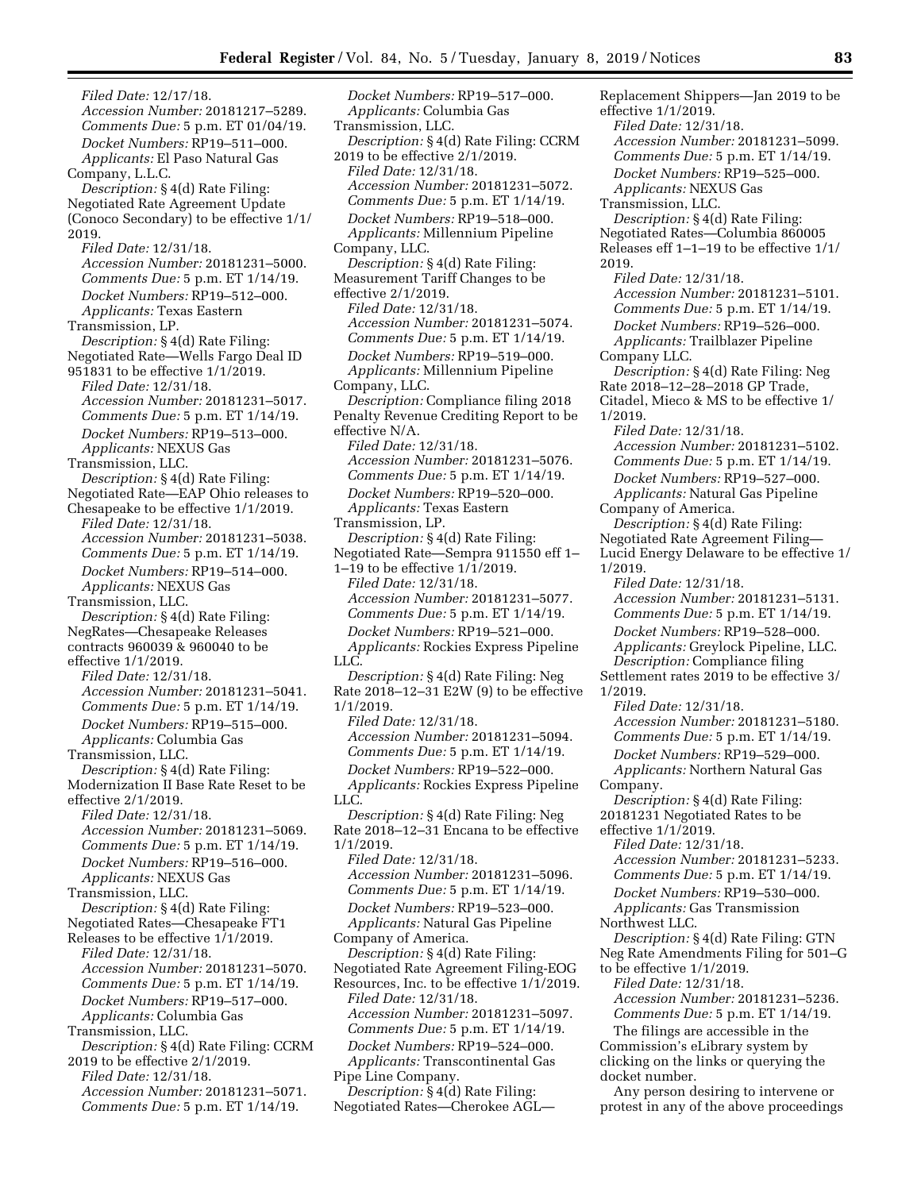*Filed Date:* 12/17/18. *Accession Number:* 20181217–5289. *Comments Due:* 5 p.m. ET 01/04/19. *Docket Numbers:* RP19–511–000. *Applicants:* El Paso Natural Gas Company, L.L.C. *Description:* § 4(d) Rate Filing: Negotiated Rate Agreement Update (Conoco Secondary) to be effective 1/1/ 2019. *Filed Date:* 12/31/18. *Accession Number:* 20181231–5000. *Comments Due:* 5 p.m. ET 1/14/19. *Docket Numbers:* RP19–512–000. *Applicants:* Texas Eastern Transmission, LP. *Description:* § 4(d) Rate Filing: Negotiated Rate—Wells Fargo Deal ID 951831 to be effective 1/1/2019. *Filed Date:* 12/31/18. *Accession Number:* 20181231–5017. *Comments Due:* 5 p.m. ET 1/14/19. *Docket Numbers:* RP19–513–000. *Applicants:* NEXUS Gas Transmission, LLC. *Description:* § 4(d) Rate Filing: Negotiated Rate—EAP Ohio releases to Chesapeake to be effective 1/1/2019. *Filed Date:* 12/31/18. *Accession Number:* 20181231–5038. *Comments Due:* 5 p.m. ET 1/14/19. *Docket Numbers:* RP19–514–000. *Applicants:* NEXUS Gas Transmission, LLC. *Description:* § 4(d) Rate Filing: NegRates—Chesapeake Releases contracts 960039 & 960040 to be effective 1/1/2019. *Filed Date:* 12/31/18. *Accession Number:* 20181231–5041. *Comments Due:* 5 p.m. ET 1/14/19. *Docket Numbers:* RP19–515–000. *Applicants:* Columbia Gas Transmission, LLC. *Description:* § 4(d) Rate Filing: Modernization II Base Rate Reset to be effective 2/1/2019. *Filed Date:* 12/31/18. *Accession Number:* 20181231–5069. *Comments Due:* 5 p.m. ET 1/14/19. *Docket Numbers:* RP19–516–000. *Applicants:* NEXUS Gas Transmission, LLC. *Description:* § 4(d) Rate Filing: Negotiated Rates—Chesapeake FT1 Releases to be effective 1/1/2019. *Filed Date:* 12/31/18. *Accession Number:* 20181231–5070. *Comments Due:* 5 p.m. ET 1/14/19. *Docket Numbers:* RP19–517–000. *Applicants:* Columbia Gas Transmission, LLC. *Description:* § 4(d) Rate Filing: CCRM 2019 to be effective 2/1/2019. *Filed Date:* 12/31/18. *Accession Number:* 20181231–5071. *Comments Due:* 5 p.m. ET 1/14/19.

*Docket Numbers:* RP19–517–000. *Applicants:* Columbia Gas Transmission, LLC. *Description:* § 4(d) Rate Filing: CCRM 2019 to be effective 2/1/2019. *Filed Date:* 12/31/18. *Accession Number:* 20181231–5072. *Comments Due:* 5 p.m. ET 1/14/19. *Docket Numbers:* RP19–518–000. *Applicants:* Millennium Pipeline Company, LLC. *Description:* § 4(d) Rate Filing: Measurement Tariff Changes to be effective 2/1/2019. *Filed Date:* 12/31/18. *Accession Number:* 20181231–5074. *Comments Due:* 5 p.m. ET 1/14/19. *Docket Numbers:* RP19–519–000. *Applicants:* Millennium Pipeline Company, LLC. *Description:* Compliance filing 2018 Penalty Revenue Crediting Report to be effective N/A. *Filed Date:* 12/31/18. *Accession Number:* 20181231–5076. *Comments Due:* 5 p.m. ET 1/14/19. *Docket Numbers:* RP19–520–000. *Applicants:* Texas Eastern Transmission, LP. *Description:* § 4(d) Rate Filing: Negotiated Rate—Sempra 911550 eff 1– 1–19 to be effective 1/1/2019. *Filed Date:* 12/31/18. *Accession Number:* 20181231–5077. *Comments Due:* 5 p.m. ET 1/14/19. *Docket Numbers:* RP19–521–000. *Applicants:* Rockies Express Pipeline LLC. *Description:* § 4(d) Rate Filing: Neg Rate 2018–12–31 E2W (9) to be effective 1/1/2019. *Filed Date:* 12/31/18. *Accession Number:* 20181231–5094. *Comments Due:* 5 p.m. ET 1/14/19. *Docket Numbers:* RP19–522–000. *Applicants:* Rockies Express Pipeline LLC. *Description:* § 4(d) Rate Filing: Neg Rate 2018–12–31 Encana to be effective 1/1/2019. *Filed Date:* 12/31/18. *Accession Number:* 20181231–5096. *Comments Due:* 5 p.m. ET 1/14/19. *Docket Numbers:* RP19–523–000. *Applicants:* Natural Gas Pipeline Company of America. *Description:* § 4(d) Rate Filing: Negotiated Rate Agreement Filing-EOG Resources, Inc. to be effective 1/1/2019. *Filed Date:* 12/31/18. *Accession Number:* 20181231–5097. *Comments Due:* 5 p.m. ET 1/14/19. *Docket Numbers:* RP19–524–000. *Applicants:* Transcontinental Gas Pipe Line Company. *Description:* § 4(d) Rate Filing: Negotiated Rates—Cherokee AGL—

effective 1/1/2019. *Filed Date:* 12/31/18. *Accession Number:* 20181231–5099. *Comments Due:* 5 p.m. ET 1/14/19. *Docket Numbers:* RP19–525–000. *Applicants:* NEXUS Gas Transmission, LLC. *Description:* § 4(d) Rate Filing: Negotiated Rates—Columbia 860005 Releases eff 1–1–19 to be effective 1/1/ 2019. *Filed Date:* 12/31/18. *Accession Number:* 20181231–5101. *Comments Due:* 5 p.m. ET 1/14/19. *Docket Numbers:* RP19–526–000. *Applicants:* Trailblazer Pipeline Company LLC. *Description:* § 4(d) Rate Filing: Neg Rate 2018–12–28–2018 GP Trade, Citadel, Mieco & MS to be effective 1/ 1/2019. *Filed Date:* 12/31/18. *Accession Number:* 20181231–5102. *Comments Due:* 5 p.m. ET 1/14/19. *Docket Numbers:* RP19–527–000. *Applicants:* Natural Gas Pipeline Company of America. *Description:* § 4(d) Rate Filing: Negotiated Rate Agreement Filing— Lucid Energy Delaware to be effective 1/ 1/2019. *Filed Date:* 12/31/18. *Accession Number:* 20181231–5131. *Comments Due:* 5 p.m. ET 1/14/19. *Docket Numbers:* RP19–528–000. *Applicants:* Greylock Pipeline, LLC. *Description:* Compliance filing Settlement rates 2019 to be effective 3/ 1/2019. *Filed Date:* 12/31/18. *Accession Number:* 20181231–5180. *Comments Due:* 5 p.m. ET 1/14/19. *Docket Numbers:* RP19–529–000. *Applicants:* Northern Natural Gas Company. *Description:* § 4(d) Rate Filing: 20181231 Negotiated Rates to be effective 1/1/2019. *Filed Date:* 12/31/18. *Accession Number:* 20181231–5233. *Comments Due:* 5 p.m. ET 1/14/19. *Docket Numbers:* RP19–530–000. *Applicants:* Gas Transmission Northwest LLC. *Description:* § 4(d) Rate Filing: GTN Neg Rate Amendments Filing for 501–G to be effective 1/1/2019. *Filed Date:* 12/31/18. *Accession Number:* 20181231–5236. *Comments Due:* 5 p.m. ET 1/14/19. The filings are accessible in the Commission's eLibrary system by clicking on the links or querying the docket number. Any person desiring to intervene or

protest in any of the above proceedings

Replacement Shippers—Jan 2019 to be